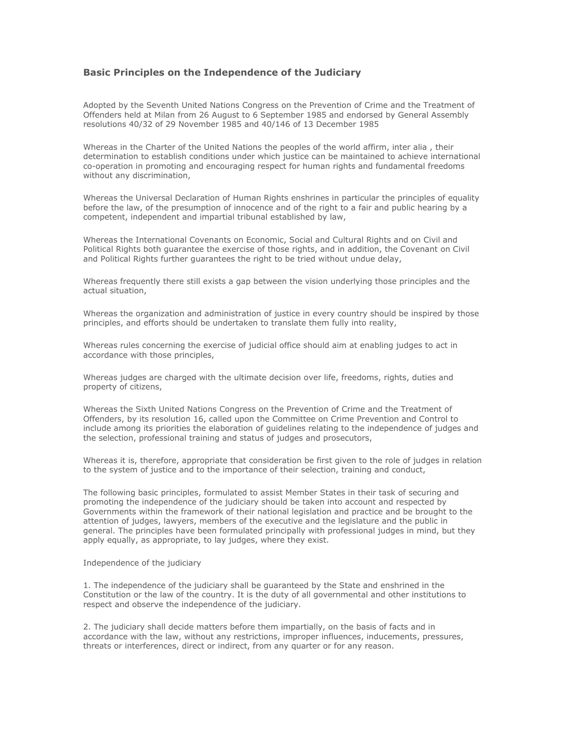# **Basic Principles on the Independence of the Judiciary**

Adopted by the Seventh United Nations Congress on the Prevention of Crime and the Treatment of Offenders held at Milan from 26 August to 6 September 1985 and endorsed by General Assembly resolutions 40/32 of 29 November 1985 and 40/146 of 13 December 1985

Whereas in the Charter of the United Nations the peoples of the world affirm, inter alia , their determination to establish conditions under which justice can be maintained to achieve international co-operation in promoting and encouraging respect for human rights and fundamental freedoms without any discrimination,

Whereas the Universal Declaration of Human Rights enshrines in particular the principles of equality before the law, of the presumption of innocence and of the right to a fair and public hearing by a competent, independent and impartial tribunal established by law,

Whereas the International Covenants on Economic, Social and Cultural Rights and on Civil and Political Rights both guarantee the exercise of those rights, and in addition, the Covenant on Civil and Political Rights further guarantees the right to be tried without undue delay,

Whereas frequently there still exists a gap between the vision underlying those principles and the actual situation,

Whereas the organization and administration of justice in every country should be inspired by those principles, and efforts should be undertaken to translate them fully into reality,

Whereas rules concerning the exercise of judicial office should aim at enabling judges to act in accordance with those principles,

Whereas judges are charged with the ultimate decision over life, freedoms, rights, duties and property of citizens,

Whereas the Sixth United Nations Congress on the Prevention of Crime and the Treatment of Offenders, by its resolution 16, called upon the Committee on Crime Prevention and Control to include among its priorities the elaboration of guidelines relating to the independence of judges and the selection, professional training and status of judges and prosecutors,

Whereas it is, therefore, appropriate that consideration be first given to the role of judges in relation to the system of justice and to the importance of their selection, training and conduct,

The following basic principles, formulated to assist Member States in their task of securing and promoting the independence of the judiciary should be taken into account and respected by Governments within the framework of their national legislation and practice and be brought to the attention of judges, lawyers, members of the executive and the legislature and the public in general. The principles have been formulated principally with professional judges in mind, but they apply equally, as appropriate, to lay judges, where they exist.

### Independence of the judiciary

1. The independence of the judiciary shall be guaranteed by the State and enshrined in the Constitution or the law of the country. It is the duty of all governmental and other institutions to respect and observe the independence of the judiciary.

2. The judiciary shall decide matters before them impartially, on the basis of facts and in accordance with the law, without any restrictions, improper influences, inducements, pressures, threats or interferences, direct or indirect, from any quarter or for any reason.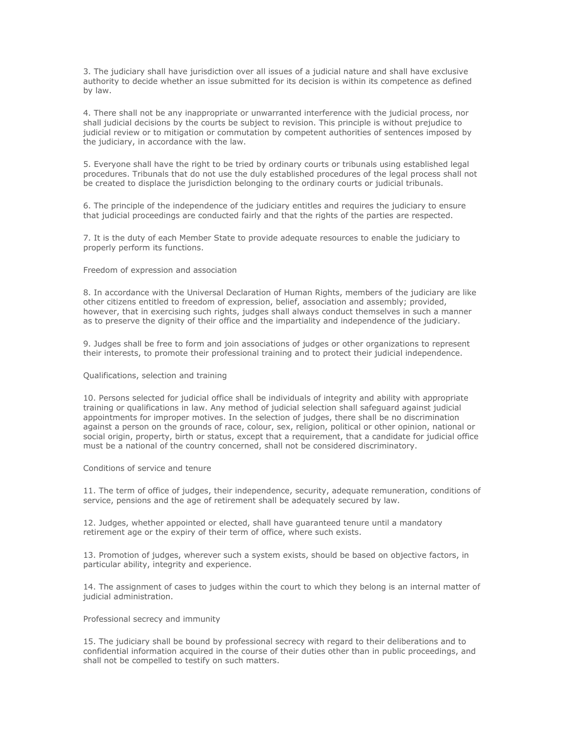3. The judiciary shall have jurisdiction over all issues of a judicial nature and shall have exclusive authority to decide whether an issue submitted for its decision is within its competence as defined by law.

4. There shall not be any inappropriate or unwarranted interference with the judicial process, nor shall judicial decisions by the courts be subject to revision. This principle is without prejudice to judicial review or to mitigation or commutation by competent authorities of sentences imposed by the judiciary, in accordance with the law.

5. Everyone shall have the right to be tried by ordinary courts or tribunals using established legal procedures. Tribunals that do not use the duly established procedures of the legal process shall not be created to displace the jurisdiction belonging to the ordinary courts or judicial tribunals.

6. The principle of the independence of the judiciary entitles and requires the judiciary to ensure that judicial proceedings are conducted fairly and that the rights of the parties are respected.

7. It is the duty of each Member State to provide adequate resources to enable the judiciary to properly perform its functions.

## Freedom of expression and association

8. In accordance with the Universal Declaration of Human Rights, members of the judiciary are like other citizens entitled to freedom of expression, belief, association and assembly; provided, however, that in exercising such rights, judges shall always conduct themselves in such a manner as to preserve the dignity of their office and the impartiality and independence of the judiciary.

9. Judges shall be free to form and join associations of judges or other organizations to represent their interests, to promote their professional training and to protect their judicial independence.

#### Qualifications, selection and training

10. Persons selected for judicial office shall be individuals of integrity and ability with appropriate training or qualifications in law. Any method of judicial selection shall safeguard against judicial appointments for improper motives. In the selection of judges, there shall be no discrimination against a person on the grounds of race, colour, sex, religion, political or other opinion, national or social origin, property, birth or status, except that a requirement, that a candidate for judicial office must be a national of the country concerned, shall not be considered discriminatory.

### Conditions of service and tenure

11. The term of office of judges, their independence, security, adequate remuneration, conditions of service, pensions and the age of retirement shall be adequately secured by law.

12. Judges, whether appointed or elected, shall have guaranteed tenure until a mandatory retirement age or the expiry of their term of office, where such exists.

13. Promotion of judges, wherever such a system exists, should be based on objective factors, in particular ability, integrity and experience.

14. The assignment of cases to judges within the court to which they belong is an internal matter of judicial administration.

#### Professional secrecy and immunity

15. The judiciary shall be bound by professional secrecy with regard to their deliberations and to confidential information acquired in the course of their duties other than in public proceedings, and shall not be compelled to testify on such matters.